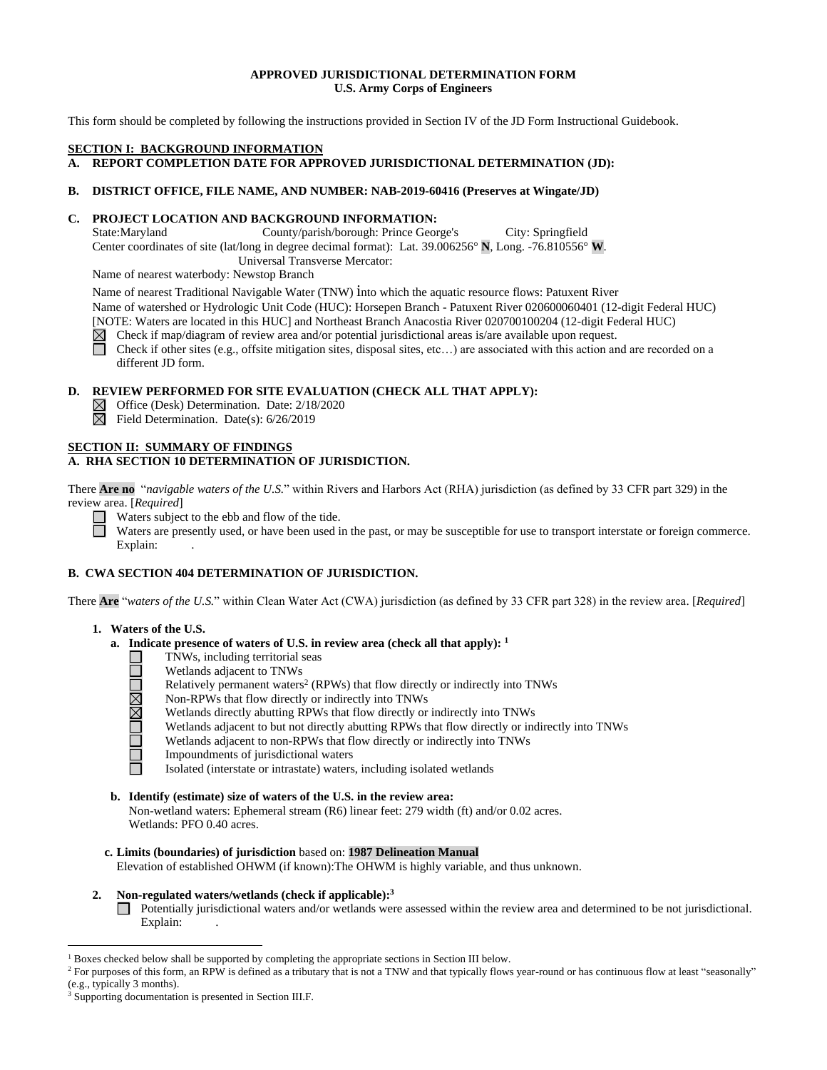#### **APPROVED JURISDICTIONAL DETERMINATION FORM U.S. Army Corps of Engineers**

This form should be completed by following the instructions provided in Section IV of the JD Form Instructional Guidebook.

#### **SECTION I: BACKGROUND INFORMATION**

**A. REPORT COMPLETION DATE FOR APPROVED JURISDICTIONAL DETERMINATION (JD):** 

## **B. DISTRICT OFFICE, FILE NAME, AND NUMBER: NAB-2019-60416 (Preserves at Wingate/JD)**

### **C. PROJECT LOCATION AND BACKGROUND INFORMATION:**

State:Maryland County/parish/borough: Prince George's City: Springfield Center coordinates of site (lat/long in degree decimal format): Lat. 39.006256° **N**, Long. -76.810556° **W**. Universal Transverse Mercator:

Name of nearest waterbody: Newstop Branch

Name of nearest Traditional Navigable Water (TNW) into which the aquatic resource flows: Patuxent River Name of watershed or Hydrologic Unit Code (HUC): Horsepen Branch - Patuxent River 020600060401 (12-digit Federal HUC) [NOTE: Waters are located in this HUC] and Northeast Branch Anacostia River 020700100204 (12-digit Federal HUC)

- $\boxtimes$ Check if map/diagram of review area and/or potential jurisdictional areas is/are available upon request.
- П Check if other sites (e.g., offsite mitigation sites, disposal sites, etc…) are associated with this action and are recorded on a different JD form.

## **D. REVIEW PERFORMED FOR SITE EVALUATION (CHECK ALL THAT APPLY):**

- Office (Desk) Determination. Date: 2/18/2020
- $\overline{\boxtimes}$  Field Determination. Date(s): 6/26/2019

## **SECTION II: SUMMARY OF FINDINGS A. RHA SECTION 10 DETERMINATION OF JURISDICTION.**

There **Are no** "*navigable waters of the U.S.*" within Rivers and Harbors Act (RHA) jurisdiction (as defined by 33 CFR part 329) in the review area. [*Required*]

 $\Box$  Waters subject to the ebb and flow of the tide.

Waters are presently used, or have been used in the past, or may be susceptible for use to transport interstate or foreign commerce. Explain:

## **B. CWA SECTION 404 DETERMINATION OF JURISDICTION.**

There **Are** "*waters of the U.S.*" within Clean Water Act (CWA) jurisdiction (as defined by 33 CFR part 328) in the review area. [*Required*]

## **1. Waters of the U.S.**

## **a. Indicate presence of waters of U.S. in review area (check all that apply): 1**

- TNWs, including territorial seas
	- Wetlands adjacent to TNWs
	- Relatively permanent waters<sup>2</sup> (RPWs) that flow directly or indirectly into TNWs
	- Non-RPWs that flow directly or indirectly into TNWs
	- Wetlands directly abutting RPWs that flow directly or indirectly into TNWs
	- Wetlands adjacent to but not directly abutting RPWs that flow directly or indirectly into TNWs
	- Wetlands adjacent to non-RPWs that flow directly or indirectly into TNWs
	- Impoundments of jurisdictional waters
	- Isolated (interstate or intrastate) waters, including isolated wetlands
- **b. Identify (estimate) size of waters of the U.S. in the review area:** Non-wetland waters: Ephemeral stream (R6) linear feet: 279 width (ft) and/or 0.02 acres. Wetlands: PFO 0.40 acres.
- **c. Limits (boundaries) of jurisdiction** based on: **1987 Delineation Manual** Elevation of established OHWM (if known):The OHWM is highly variable, and thus unknown.
- **2. Non-regulated waters/wetlands (check if applicable): 3**
	- Potentially jurisdictional waters and/or wetlands were assessed within the review area and determined to be not jurisdictional. Explain:

 $\overline{a}$ 

<sup>1</sup> Boxes checked below shall be supported by completing the appropriate sections in Section III below.

<sup>&</sup>lt;sup>2</sup> For purposes of this form, an RPW is defined as a tributary that is not a TNW and that typically flows year-round or has continuous flow at least "seasonally" (e.g., typically 3 months).

<sup>3</sup> Supporting documentation is presented in Section III.F.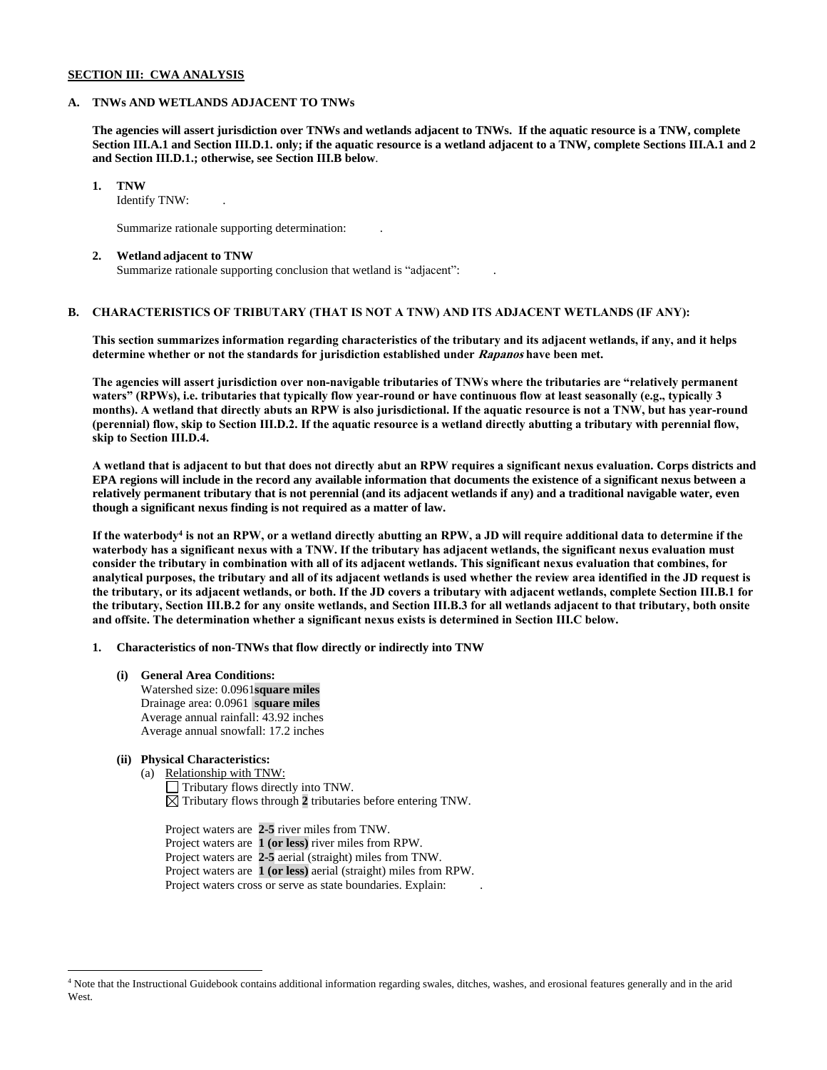#### **SECTION III: CWA ANALYSIS**

#### **A. TNWs AND WETLANDS ADJACENT TO TNWs**

**The agencies will assert jurisdiction over TNWs and wetlands adjacent to TNWs. If the aquatic resource is a TNW, complete Section III.A.1 and Section III.D.1. only; if the aquatic resource is a wetland adjacent to a TNW, complete Sections III.A.1 and 2 and Section III.D.1.; otherwise, see Section III.B below**.

#### **1. TNW**

Identify TNW: .

Summarize rationale supporting determination: .

#### **2. Wetland adjacent to TNW**

Summarize rationale supporting conclusion that wetland is "adjacent": .

## **B. CHARACTERISTICS OF TRIBUTARY (THAT IS NOT A TNW) AND ITS ADJACENT WETLANDS (IF ANY):**

**This section summarizes information regarding characteristics of the tributary and its adjacent wetlands, if any, and it helps determine whether or not the standards for jurisdiction established under Rapanos have been met.** 

**The agencies will assert jurisdiction over non-navigable tributaries of TNWs where the tributaries are "relatively permanent waters" (RPWs), i.e. tributaries that typically flow year-round or have continuous flow at least seasonally (e.g., typically 3 months). A wetland that directly abuts an RPW is also jurisdictional. If the aquatic resource is not a TNW, but has year-round (perennial) flow, skip to Section III.D.2. If the aquatic resource is a wetland directly abutting a tributary with perennial flow, skip to Section III.D.4.**

**A wetland that is adjacent to but that does not directly abut an RPW requires a significant nexus evaluation. Corps districts and EPA regions will include in the record any available information that documents the existence of a significant nexus between a relatively permanent tributary that is not perennial (and its adjacent wetlands if any) and a traditional navigable water, even though a significant nexus finding is not required as a matter of law.**

**If the waterbody<sup>4</sup> is not an RPW, or a wetland directly abutting an RPW, a JD will require additional data to determine if the waterbody has a significant nexus with a TNW. If the tributary has adjacent wetlands, the significant nexus evaluation must consider the tributary in combination with all of its adjacent wetlands. This significant nexus evaluation that combines, for analytical purposes, the tributary and all of its adjacent wetlands is used whether the review area identified in the JD request is the tributary, or its adjacent wetlands, or both. If the JD covers a tributary with adjacent wetlands, complete Section III.B.1 for the tributary, Section III.B.2 for any onsite wetlands, and Section III.B.3 for all wetlands adjacent to that tributary, both onsite and offsite. The determination whether a significant nexus exists is determined in Section III.C below.**

**1. Characteristics of non-TNWs that flow directly or indirectly into TNW**

**(i) General Area Conditions:** Watershed size: 0.0961**square miles** Drainage area: 0.0961 **square miles** Average annual rainfall: 43.92 inches Average annual snowfall: 17.2 inches

## **(ii) Physical Characteristics:**

 $\overline{a}$ 

(a) Relationship with TNW: Tributary flows directly into TNW.  $\boxtimes$  Tributary flows through 2 tributaries before entering TNW.

Project waters are **2-5** river miles from TNW. Project waters are **1 (or less)** river miles from RPW. Project waters are **2-5** aerial (straight) miles from TNW. Project waters are **1 (or less)** aerial (straight) miles from RPW. Project waters cross or serve as state boundaries. Explain:

<sup>4</sup> Note that the Instructional Guidebook contains additional information regarding swales, ditches, washes, and erosional features generally and in the arid West.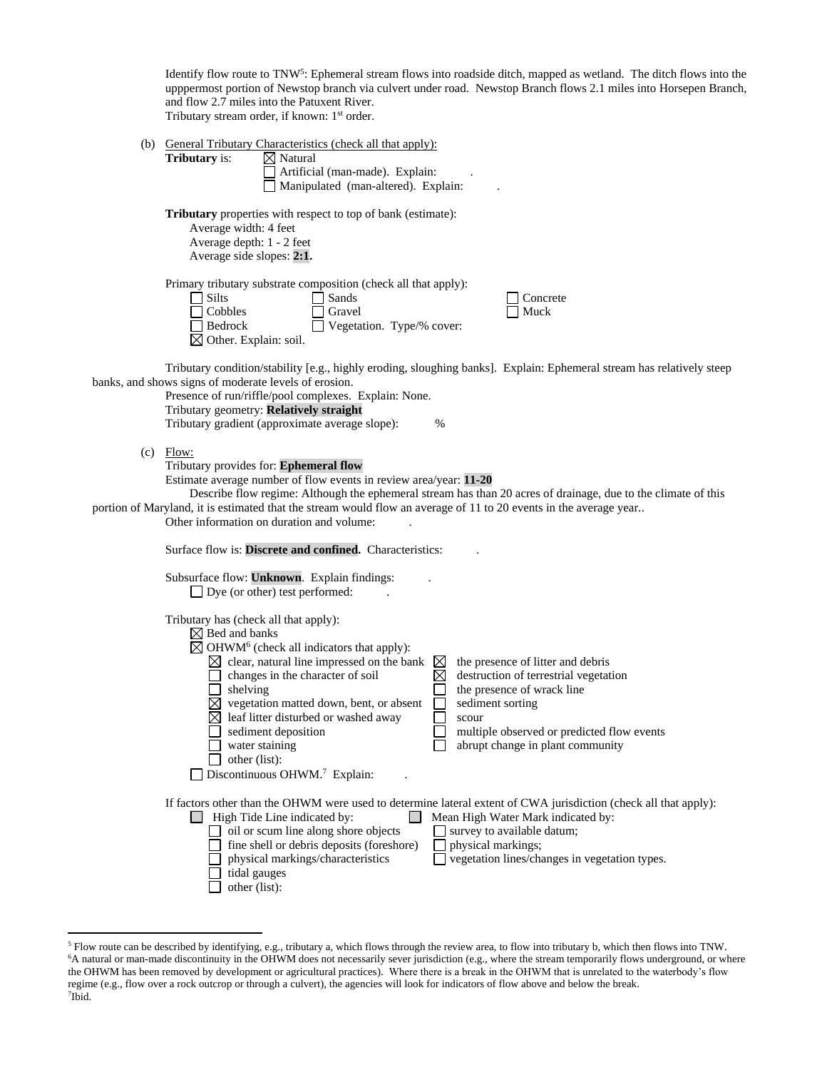Identify flow route to TNW<sup>5</sup>: Ephemeral stream flows into roadside ditch, mapped as wetland. The ditch flows into the upppermost portion of Newstop branch via culvert under road. Newstop Branch flows 2.1 miles into Horsepen Branch, and flow 2.7 miles into the Patuxent River. Tributary stream order, if known: 1<sup>st</sup> order.

|                                                                                                                                                                                                                                                                                                                                                                                                                | (b) General Tributary Characteristics (check all that apply):<br><b>Tributary</b> is:<br>$\boxtimes$ Natural<br>Artificial (man-made). Explain:<br>Manipulated (man-altered). Explain:                                                                                                                                                                                                                                                                                                                                                                                                                                                                                                                         |  |  |  |  |  |  |
|----------------------------------------------------------------------------------------------------------------------------------------------------------------------------------------------------------------------------------------------------------------------------------------------------------------------------------------------------------------------------------------------------------------|----------------------------------------------------------------------------------------------------------------------------------------------------------------------------------------------------------------------------------------------------------------------------------------------------------------------------------------------------------------------------------------------------------------------------------------------------------------------------------------------------------------------------------------------------------------------------------------------------------------------------------------------------------------------------------------------------------------|--|--|--|--|--|--|
|                                                                                                                                                                                                                                                                                                                                                                                                                | <b>Tributary</b> properties with respect to top of bank (estimate):<br>Average width: 4 feet<br>Average depth: 1 - 2 feet<br>Average side slopes: 2:1.                                                                                                                                                                                                                                                                                                                                                                                                                                                                                                                                                         |  |  |  |  |  |  |
|                                                                                                                                                                                                                                                                                                                                                                                                                | Primary tributary substrate composition (check all that apply):<br>Silts<br>Sands<br>Concrete<br>Cobbles<br>Gravel<br>Muck<br>Vegetation. Type/% cover:<br>Bedrock<br>$\boxtimes$ Other. Explain: soil.                                                                                                                                                                                                                                                                                                                                                                                                                                                                                                        |  |  |  |  |  |  |
|                                                                                                                                                                                                                                                                                                                                                                                                                | Tributary condition/stability [e.g., highly eroding, sloughing banks]. Explain: Ephemeral stream has relatively steep<br>banks, and shows signs of moderate levels of erosion.<br>Presence of run/riffle/pool complexes. Explain: None.<br>Tributary geometry: Relatively straight<br>Tributary gradient (approximate average slope):<br>%                                                                                                                                                                                                                                                                                                                                                                     |  |  |  |  |  |  |
| Flow:<br>(c)<br>Tributary provides for: Ephemeral flow<br>Estimate average number of flow events in review area/year: 11-20<br>Describe flow regime: Although the ephemeral stream has than 20 acres of drainage, due to the climate of this<br>portion of Maryland, it is estimated that the stream would flow an average of 11 to 20 events in the average year<br>Other information on duration and volume: |                                                                                                                                                                                                                                                                                                                                                                                                                                                                                                                                                                                                                                                                                                                |  |  |  |  |  |  |
|                                                                                                                                                                                                                                                                                                                                                                                                                | Surface flow is: Discrete and confined. Characteristics:<br>Subsurface flow: Unknown. Explain findings:<br>Dye (or other) test performed:                                                                                                                                                                                                                                                                                                                                                                                                                                                                                                                                                                      |  |  |  |  |  |  |
|                                                                                                                                                                                                                                                                                                                                                                                                                | Tributary has (check all that apply):<br>$\boxtimes$ Bed and banks<br>$\boxtimes$ OHWM <sup>6</sup> (check all indicators that apply):<br>$\boxtimes$ clear, natural line impressed on the bank<br>the presence of litter and debris<br>$\boxtimes$<br>$\boxtimes$<br>destruction of terrestrial vegetation<br>changes in the character of soil<br>shelving<br>the presence of wrack line<br>$\boxtimes$ vegetation matted down, bent, or absent<br>sediment sorting<br>leaf litter disturbed or washed away<br>scour<br>sediment deposition<br>multiple observed or predicted flow events<br>abrupt change in plant community<br>water staining<br>other (list):<br>Discontinuous OHWM. <sup>7</sup> Explain: |  |  |  |  |  |  |
|                                                                                                                                                                                                                                                                                                                                                                                                                | If factors other than the OHWM were used to determine lateral extent of CWA jurisdiction (check all that apply):<br>$\Box$ High Tide Line indicated by:<br>Mean High Water Mark indicated by:<br>oil or scum line along shore objects<br>survey to available datum;<br>fine shell or debris deposits (foreshore)<br>physical markings;<br>vegetation lines/changes in vegetation types.<br>physical markings/characteristics<br>tidal gauges<br>other (list):                                                                                                                                                                                                                                                  |  |  |  |  |  |  |

 $\overline{a}$ 

<sup>5</sup> Flow route can be described by identifying, e.g., tributary a, which flows through the review area, to flow into tributary b, which then flows into TNW. <sup>6</sup>A natural or man-made discontinuity in the OHWM does not necessarily sever jurisdiction (e.g., where the stream temporarily flows underground, or where the OHWM has been removed by development or agricultural practices). Where there is a break in the OHWM that is unrelated to the waterbody's flow regime (e.g., flow over a rock outcrop or through a culvert), the agencies will look for indicators of flow above and below the break. 7 Ibid.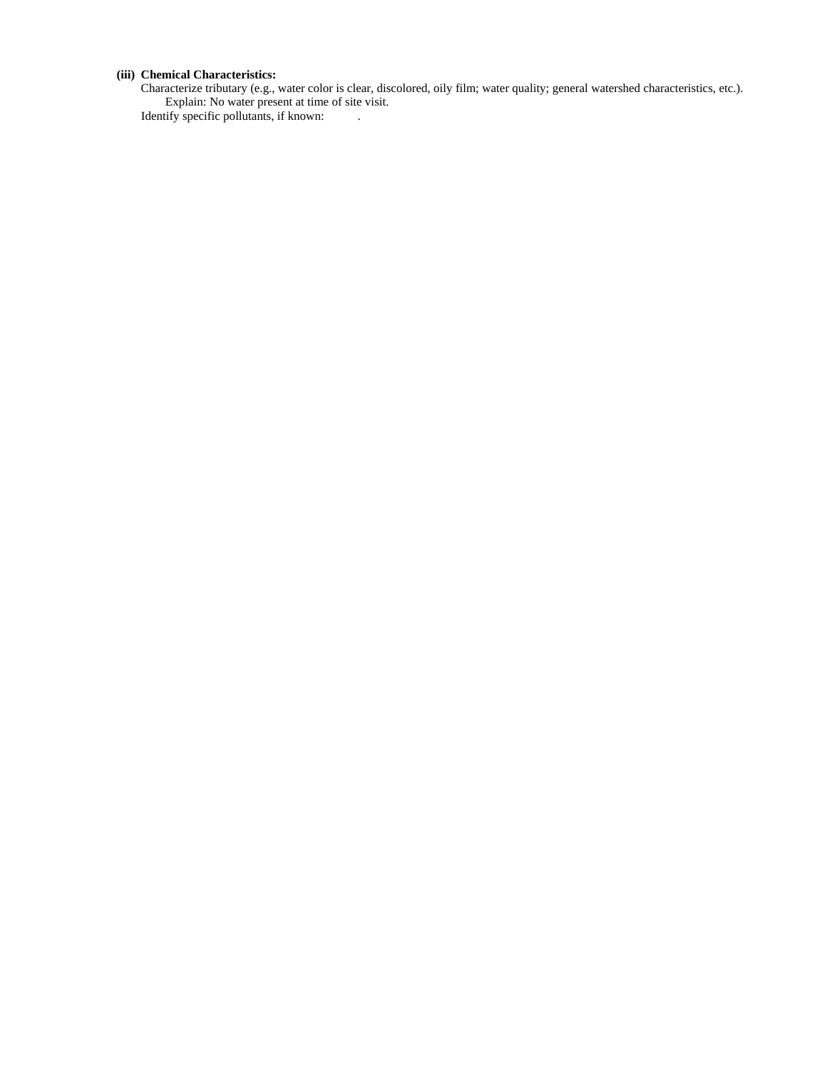## **(iii) Chemical Characteristics:**

Characterize tributary (e.g., water color is clear, discolored, oily film; water quality; general watershed characteristics, etc.). Explain: No water present at time of site visit. Identify specific pollutants, if known: .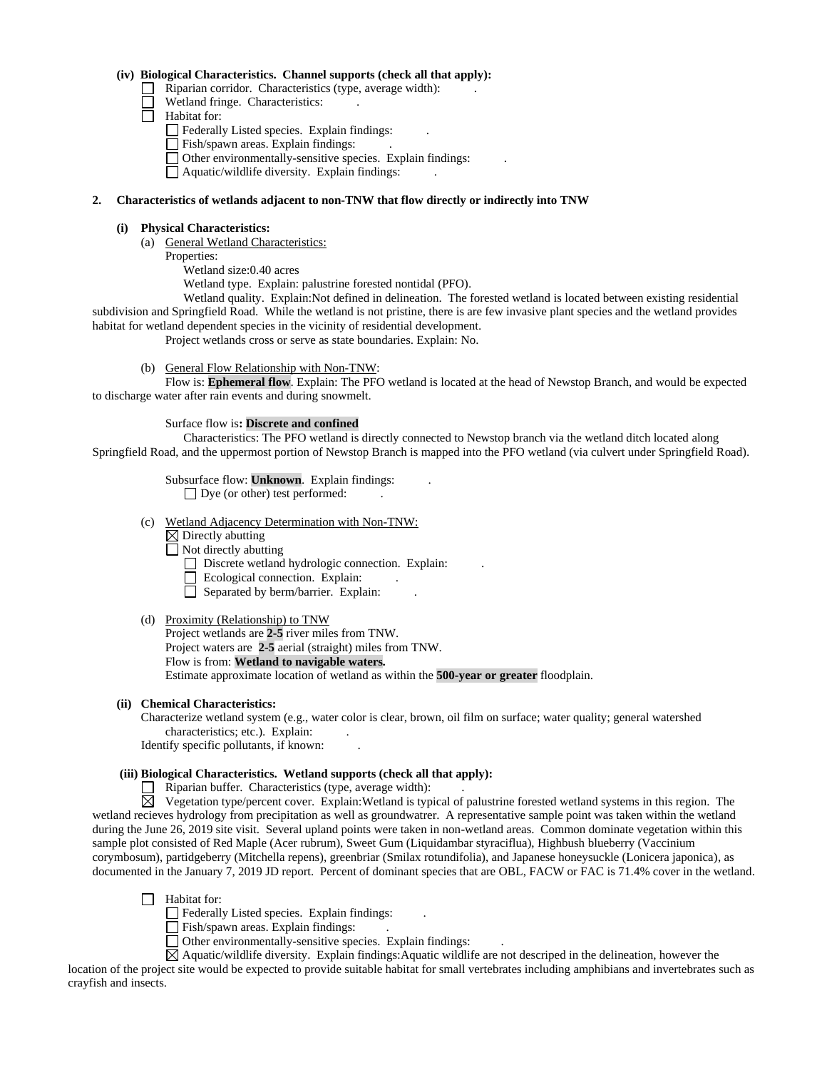## **(iv) Biological Characteristics. Channel supports (check all that apply):**

- $\Box$  Riparian corridor. Characteristics (type, average width):
- Wetland fringe. Characteristics:
- $\Box$  Habitat for:
	- Federally Listed species. Explain findings:
	- Fish/spawn areas. Explain findings: .
	- Other environmentally-sensitive species. Explain findings: .
	- $\Box$  Aquatic/wildlife diversity. Explain findings:

#### **2. Characteristics of wetlands adjacent to non-TNW that flow directly or indirectly into TNW**

#### **(i) Physical Characteristics:**

- (a) General Wetland Characteristics:
	- Properties:
		- Wetland size:0.40 acres

Wetland type. Explain: palustrine forested nontidal (PFO).

Wetland quality. Explain:Not defined in delineation. The forested wetland is located between existing residential subdivision and Springfield Road. While the wetland is not pristine, there is are few invasive plant species and the wetland provides habitat for wetland dependent species in the vicinity of residential development.

Project wetlands cross or serve as state boundaries. Explain: No.

(b) General Flow Relationship with Non-TNW:

Flow is: **Ephemeral flow**. Explain: The PFO wetland is located at the head of Newstop Branch, and would be expected to discharge water after rain events and during snowmelt.

## Surface flow is**: Discrete and confined**

Characteristics: The PFO wetland is directly connected to Newstop branch via the wetland ditch located along Springfield Road, and the uppermost portion of Newstop Branch is mapped into the PFO wetland (via culvert under Springfield Road).

> Subsurface flow: **Unknown**. Explain findings: .  $\Box$  Dye (or other) test performed:

- 
- (c) Wetland Adjacency Determination with Non-TNW:
	- $\boxtimes$  Directly abutting
	- $\overline{\Box}$  Not directly abutting
		- $\Box$  Discrete wetland hydrologic connection. Explain:
		- Ecological connection. Explain:
		- $\Box$  Separated by berm/barrier. Explain:
- (d) Proximity (Relationship) to TNW

Project wetlands are **2-5** river miles from TNW. Project waters are **2-5** aerial (straight) miles from TNW. Flow is from: **Wetland to navigable waters.** Estimate approximate location of wetland as within the **500-year or greater** floodplain.

## **(ii) Chemical Characteristics:**

Characterize wetland system (e.g., water color is clear, brown, oil film on surface; water quality; general watershed characteristics; etc.). Explain: .

Identify specific pollutants, if known: .

## **(iii) Biological Characteristics. Wetland supports (check all that apply):**

 $\Box$  Riparian buffer. Characteristics (type, average width):

 $\boxtimes$  Vegetation type/percent cover. Explain:Wetland is typical of palustrine forested wetland systems in this region. The wetland recieves hydrology from precipitation as well as groundwatrer. A representative sample point was taken within the wetland during the June 26, 2019 site visit. Several upland points were taken in non-wetland areas. Common dominate vegetation within this sample plot consisted of Red Maple (Acer rubrum), Sweet Gum (Liquidambar styraciflua), Highbush blueberry (Vaccinium corymbosum), partidgeberry (Mitchella repens), greenbriar (Smilax rotundifolia), and Japanese honeysuckle (Lonicera japonica), as documented in the January 7, 2019 JD report. Percent of dominant species that are OBL, FACW or FAC is 71.4% cover in the wetland.

 $\Box$  Habitat for:

 $\Box$  Federally Listed species. Explain findings:

 $\overline{\Box}$  Fish/spawn areas. Explain findings:

 $\Box$  Other environmentally-sensitive species. Explain findings:

Aquatic/wildlife diversity. Explain findings:Aquatic wildlife are not descriped in the delineation, however the location of the project site would be expected to provide suitable habitat for small vertebrates including amphibians and invertebrates such as crayfish and insects.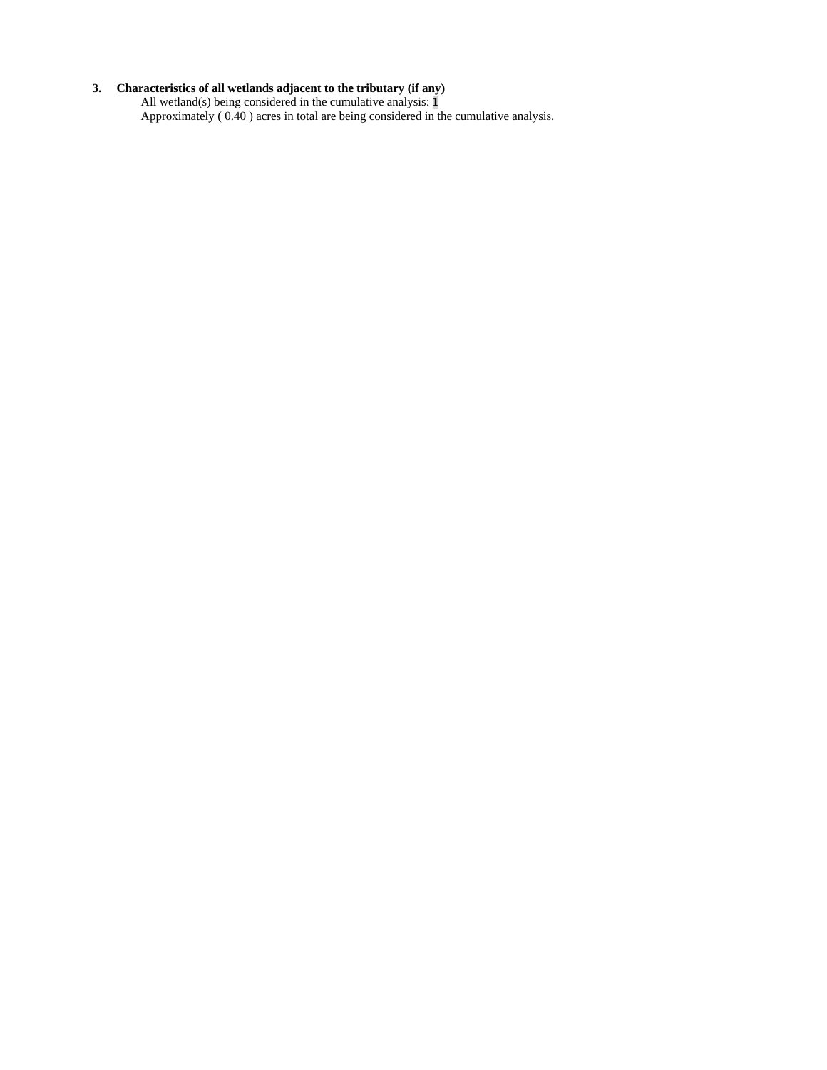#### **3. Characteristics of all wetlands adjacent to the tributary (if any)**

All wetland(s) being considered in the cumulative analysis: **1** Approximately ( 0.40 ) acres in total are being considered in the cumulative analysis.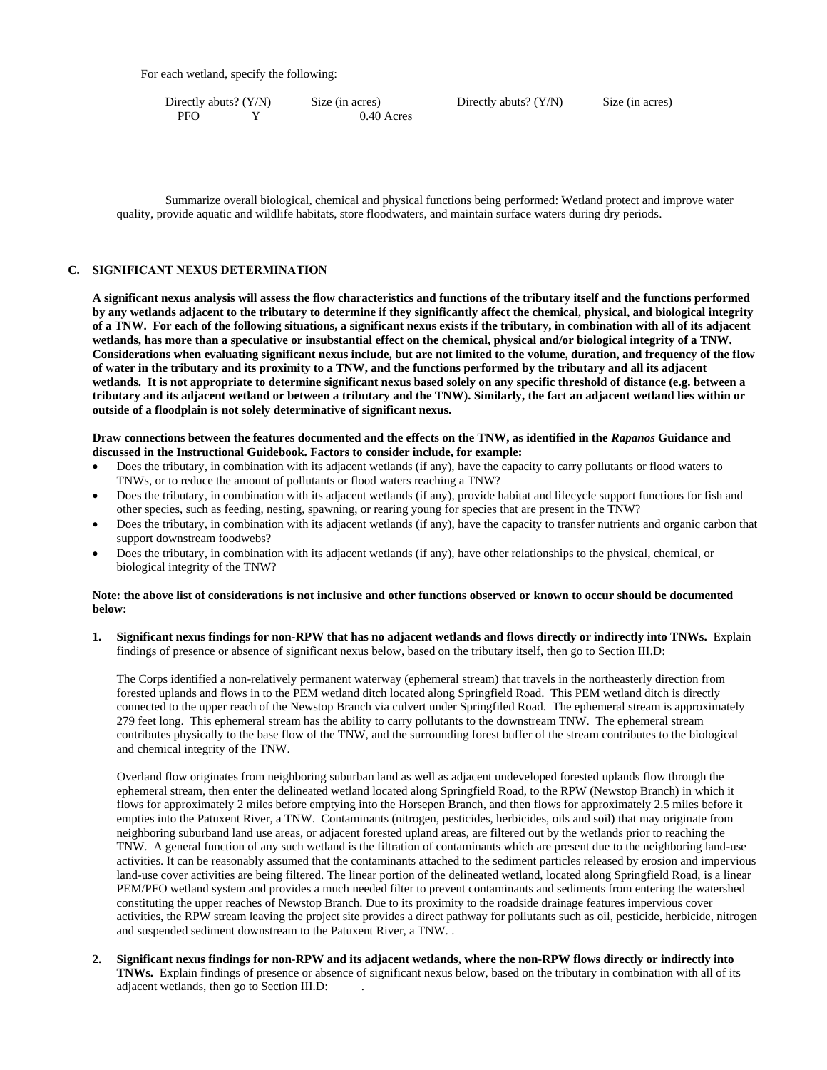For each wetland, specify the following:

PFO Y 0.40 Acres

Directly abuts? (Y/N) Size (in acres) Directly abuts? (Y/N) Size (in acres)

Summarize overall biological, chemical and physical functions being performed: Wetland protect and improve water quality, provide aquatic and wildlife habitats, store floodwaters, and maintain surface waters during dry periods.

## **C. SIGNIFICANT NEXUS DETERMINATION**

**A significant nexus analysis will assess the flow characteristics and functions of the tributary itself and the functions performed by any wetlands adjacent to the tributary to determine if they significantly affect the chemical, physical, and biological integrity of a TNW. For each of the following situations, a significant nexus exists if the tributary, in combination with all of its adjacent wetlands, has more than a speculative or insubstantial effect on the chemical, physical and/or biological integrity of a TNW. Considerations when evaluating significant nexus include, but are not limited to the volume, duration, and frequency of the flow of water in the tributary and its proximity to a TNW, and the functions performed by the tributary and all its adjacent wetlands. It is not appropriate to determine significant nexus based solely on any specific threshold of distance (e.g. between a tributary and its adjacent wetland or between a tributary and the TNW). Similarly, the fact an adjacent wetland lies within or outside of a floodplain is not solely determinative of significant nexus.** 

#### **Draw connections between the features documented and the effects on the TNW, as identified in the** *Rapanos* **Guidance and discussed in the Instructional Guidebook. Factors to consider include, for example:**

- Does the tributary, in combination with its adjacent wetlands (if any), have the capacity to carry pollutants or flood waters to TNWs, or to reduce the amount of pollutants or flood waters reaching a TNW?
- Does the tributary, in combination with its adjacent wetlands (if any), provide habitat and lifecycle support functions for fish and other species, such as feeding, nesting, spawning, or rearing young for species that are present in the TNW?
- Does the tributary, in combination with its adjacent wetlands (if any), have the capacity to transfer nutrients and organic carbon that support downstream foodwebs?
- Does the tributary, in combination with its adjacent wetlands (if any), have other relationships to the physical, chemical, or biological integrity of the TNW?

#### **Note: the above list of considerations is not inclusive and other functions observed or known to occur should be documented below:**

**1. Significant nexus findings for non-RPW that has no adjacent wetlands and flows directly or indirectly into TNWs.** Explain findings of presence or absence of significant nexus below, based on the tributary itself, then go to Section III.D:

The Corps identified a non-relatively permanent waterway (ephemeral stream) that travels in the northeasterly direction from forested uplands and flows in to the PEM wetland ditch located along Springfield Road. This PEM wetland ditch is directly connected to the upper reach of the Newstop Branch via culvert under Springfiled Road. The ephemeral stream is approximately 279 feet long. This ephemeral stream has the ability to carry pollutants to the downstream TNW. The ephemeral stream contributes physically to the base flow of the TNW, and the surrounding forest buffer of the stream contributes to the biological and chemical integrity of the TNW.

 Overland flow originates from neighboring suburban land as well as adjacent undeveloped forested uplands flow through the ephemeral stream, then enter the delineated wetland located along Springfield Road, to the RPW (Newstop Branch) in which it flows for approximately 2 miles before emptying into the Horsepen Branch, and then flows for approximately 2.5 miles before it empties into the Patuxent River, a TNW. Contaminants (nitrogen, pesticides, herbicides, oils and soil) that may originate from neighboring suburband land use areas, or adjacent forested upland areas, are filtered out by the wetlands prior to reaching the TNW. A general function of any such wetland is the filtration of contaminants which are present due to the neighboring land-use activities. It can be reasonably assumed that the contaminants attached to the sediment particles released by erosion and impervious land-use cover activities are being filtered. The linear portion of the delineated wetland, located along Springfield Road, is a linear PEM/PFO wetland system and provides a much needed filter to prevent contaminants and sediments from entering the watershed constituting the upper reaches of Newstop Branch. Due to its proximity to the roadside drainage features impervious cover activities, the RPW stream leaving the project site provides a direct pathway for pollutants such as oil, pesticide, herbicide, nitrogen and suspended sediment downstream to the Patuxent River, a TNW. .

**2. Significant nexus findings for non-RPW and its adjacent wetlands, where the non-RPW flows directly or indirectly into TNWs.** Explain findings of presence or absence of significant nexus below, based on the tributary in combination with all of its adjacent wetlands, then go to Section III.D: .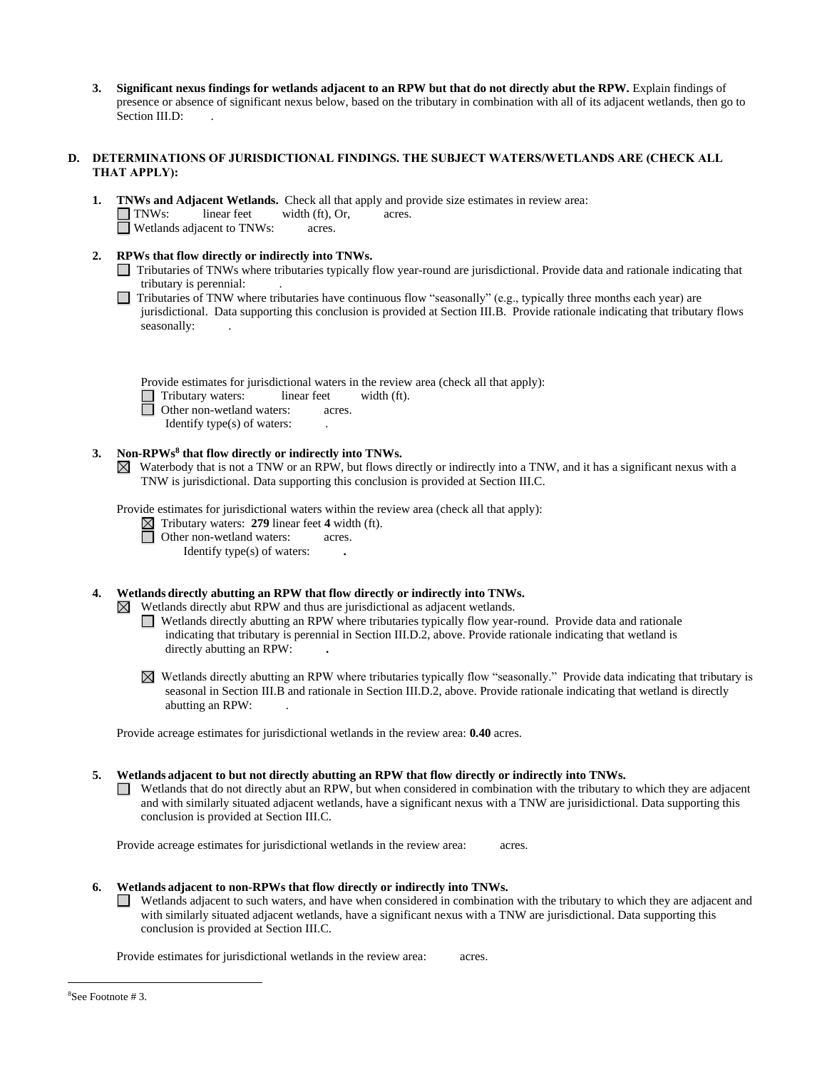**3. Significant nexus findings for wetlands adjacent to an RPW but that do not directly abut the RPW.** Explain findings of presence or absence of significant nexus below, based on the tributary in combination with all of its adjacent wetlands, then go to Section III.D:

## **D. DETERMINATIONS OF JURISDICTIONAL FINDINGS. THE SUBJECT WATERS/WETLANDS ARE (CHECK ALL THAT APPLY):**

**1. TNWs and Adjacent Wetlands.** Check all that apply and provide size estimates in review area: TNWs: linear feet width (ft), Or, acres. □ Wetlands adjacent to TNWs: acres.

## **2. RPWs that flow directly or indirectly into TNWs.**

- Tributaries of TNWs where tributaries typically flow year-round are jurisdictional. Provide data and rationale indicating that tributary is perennial: .
- Tributaries of TNW where tributaries have continuous flow "seasonally" (e.g., typically three months each year) are jurisdictional. Data supporting this conclusion is provided at Section III.B. Provide rationale indicating that tributary flows seasonally:

Provide estimates for jurisdictional waters in the review area (check all that apply):

Tributary waters: linear feet width (ft).

Other non-wetland waters: acres.

Identify type(s) of waters: .

## **3. Non-RPWs<sup>8</sup> that flow directly or indirectly into TNWs.**

 $\boxtimes$  Waterbody that is not a TNW or an RPW, but flows directly or indirectly into a TNW, and it has a significant nexus with a TNW is jurisdictional. Data supporting this conclusion is provided at Section III.C.

Provide estimates for jurisdictional waters within the review area (check all that apply):

 $\boxtimes$  Tributary waters: 279 linear feet 4 width (ft).

**D** Other non-wetland waters: acres.

Identify type(s) of waters: **.**

# **4. Wetlands directly abutting an RPW that flow directly or indirectly into TNWs.**

 $\boxtimes$  Wetlands directly abut RPW and thus are jurisdictional as adjacent wetlands.

Wetlands directly abutting an RPW where tributaries typically flow year-round. Provide data and rationale indicating that tributary is perennial in Section III.D.2, above. Provide rationale indicating that wetland is directly abutting an RPW: **.**

Wetlands directly abutting an RPW where tributaries typically flow "seasonally." Provide data indicating that tributary is seasonal in Section III.B and rationale in Section III.D.2, above. Provide rationale indicating that wetland is directly abutting an RPW: .

Provide acreage estimates for jurisdictional wetlands in the review area: **0.40** acres.

## **5. Wetlands adjacent to but not directly abutting an RPW that flow directly or indirectly into TNWs.**

 $\Box$  Wetlands that do not directly abut an RPW, but when considered in combination with the tributary to which they are adjacent and with similarly situated adjacent wetlands, have a significant nexus with a TNW are jurisidictional. Data supporting this conclusion is provided at Section III.C.

Provide acreage estimates for jurisdictional wetlands in the review area: acres.

## **6. Wetlands adjacent to non-RPWs that flow directly or indirectly into TNWs.**

Wetlands adjacent to such waters, and have when considered in combination with the tributary to which they are adjacent and with similarly situated adjacent wetlands, have a significant nexus with a TNW are jurisdictional. Data supporting this conclusion is provided at Section III.C.

Provide estimates for jurisdictional wetlands in the review area: acres.

 $\overline{a}$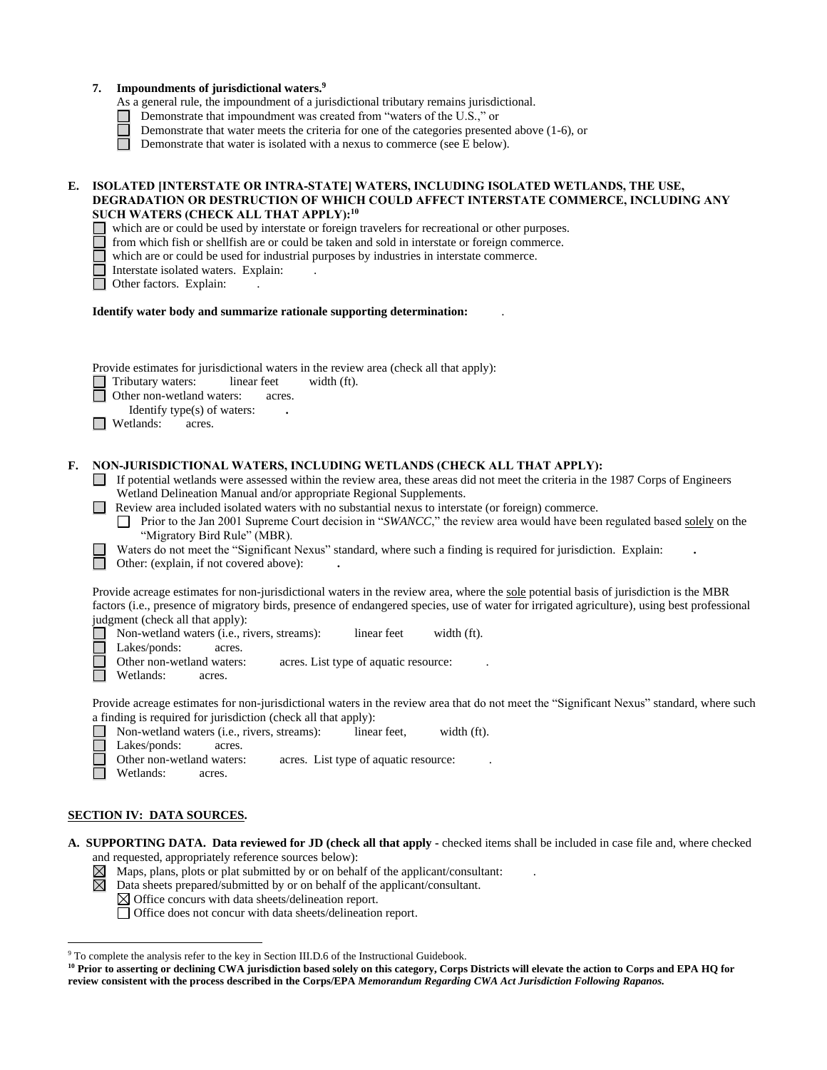|    | 7.                                                                                                                                                                                                                                                                                                                                                                                                                                                                                                                                                                                                                                                                                                                | Impoundments of jurisdictional waters. <sup>9</sup><br>As a general rule, the impoundment of a jurisdictional tributary remains jurisdictional.<br>Demonstrate that impoundment was created from "waters of the U.S.," or<br>Demonstrate that water meets the criteria for one of the categories presented above (1-6), or<br>Demonstrate that water is isolated with a nexus to commerce (see E below). |                       |                                                       |             |  |  |  |
|----|-------------------------------------------------------------------------------------------------------------------------------------------------------------------------------------------------------------------------------------------------------------------------------------------------------------------------------------------------------------------------------------------------------------------------------------------------------------------------------------------------------------------------------------------------------------------------------------------------------------------------------------------------------------------------------------------------------------------|----------------------------------------------------------------------------------------------------------------------------------------------------------------------------------------------------------------------------------------------------------------------------------------------------------------------------------------------------------------------------------------------------------|-----------------------|-------------------------------------------------------|-------------|--|--|--|
| E. | ISOLATED INTERSTATE OR INTRA-STATE WATERS, INCLUDING ISOLATED WETLANDS, THE USE,<br>DEGRADATION OR DESTRUCTION OF WHICH COULD AFFECT INTERSTATE COMMERCE, INCLUDING ANY<br>SUCH WATERS (CHECK ALL THAT APPLY): <sup>10</sup><br>which are or could be used by interstate or foreign travelers for recreational or other purposes.<br>from which fish or shellfish are or could be taken and sold in interstate or foreign commerce.<br>which are or could be used for industrial purposes by industries in interstate commerce.<br>Interstate isolated waters. Explain:<br>Other factors. Explain:                                                                                                                |                                                                                                                                                                                                                                                                                                                                                                                                          |                       |                                                       |             |  |  |  |
|    | Identify water body and summarize rationale supporting determination:                                                                                                                                                                                                                                                                                                                                                                                                                                                                                                                                                                                                                                             |                                                                                                                                                                                                                                                                                                                                                                                                          |                       |                                                       |             |  |  |  |
|    | Provide estimates for jurisdictional waters in the review area (check all that apply):<br>Tributary waters:<br>Other non-wetland waters:<br>Wetlands:                                                                                                                                                                                                                                                                                                                                                                                                                                                                                                                                                             | linear feet<br>Identify type(s) of waters:<br>acres.                                                                                                                                                                                                                                                                                                                                                     | width (ft).<br>acres. |                                                       |             |  |  |  |
| F. | NON-JURISDICTIONAL WATERS, INCLUDING WETLANDS (CHECK ALL THAT APPLY):<br>If potential wetlands were assessed within the review area, these areas did not meet the criteria in the 1987 Corps of Engineers<br>Wetland Delineation Manual and/or appropriate Regional Supplements.<br>Review area included isolated waters with no substantial nexus to interstate (or foreign) commerce.<br>Prior to the Jan 2001 Supreme Court decision in "SWANCC," the review area would have been regulated based solely on the<br>"Migratory Bird Rule" (MBR).<br>Waters do not meet the "Significant Nexus" standard, where such a finding is required for jurisdiction. Explain:<br>Other: (explain, if not covered above): |                                                                                                                                                                                                                                                                                                                                                                                                          |                       |                                                       |             |  |  |  |
|    | Provide acreage estimates for non-jurisdictional waters in the review area, where the sole potential basis of jurisdiction is the MBR<br>factors (i.e., presence of migratory birds, presence of endangered species, use of water for irrigated agriculture), using best professional<br>judgment (check all that apply):<br>Lakes/ponds:<br>Other non-wetland waters:<br>Wetlands: acres.                                                                                                                                                                                                                                                                                                                        | Non-wetland waters (i.e., rivers, streams):<br>acres.                                                                                                                                                                                                                                                                                                                                                    |                       | linear feet<br>acres. List type of aquatic resource:  | width (ft). |  |  |  |
|    | Provide acreage estimates for non-jurisdictional waters in the review area that do not meet the "Significant Nexus" standard, where such<br>a finding is required for jurisdiction (check all that apply):<br>Lakes/ponds:<br>Other non-wetland waters:<br>Wetlands:                                                                                                                                                                                                                                                                                                                                                                                                                                              | Non-wetland waters (i.e., rivers, streams):<br>acres.<br>acres.                                                                                                                                                                                                                                                                                                                                          |                       | linear feet.<br>acres. List type of aquatic resource: | width (ft). |  |  |  |
|    | CECTION IV. DATA COUDCEC                                                                                                                                                                                                                                                                                                                                                                                                                                                                                                                                                                                                                                                                                          |                                                                                                                                                                                                                                                                                                                                                                                                          |                       |                                                       |             |  |  |  |

# **SECTION IV: DATA SOURCES.**

**A. SUPPORTING DATA. Data reviewed for JD (check all that apply -** checked items shall be included in case file and, where checked and requested, appropriately reference sources below):

- Maps, plans, plots or plat submitted by or on behalf of the applicant/consultant: .
- Data sheets prepared/submitted by or on behalf of the applicant/consultant.
- Office concurs with data sheets/delineation report.
- Office does not concur with data sheets/delineation report.

 $\overline{a}$ <sup>9</sup> To complete the analysis refer to the key in Section III.D.6 of the Instructional Guidebook.

<sup>&</sup>lt;sup>10</sup> Prior to asserting or declining CWA jurisdiction based solely on this category, Corps Districts will elevate the action to Corps and EPA HQ for **review consistent with the process described in the Corps/EPA** *Memorandum Regarding CWA Act Jurisdiction Following Rapanos.*